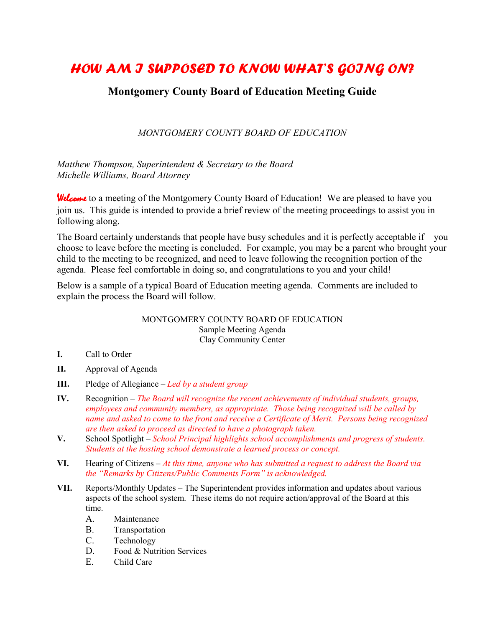## *HOW AM I SUPPOSED TO KNOW WHAT'S GOING ON?*

## **Montgomery County Board of Education Meeting Guide**

## *MONTGOMERY COUNTY BOARD OF EDUCATION*

*Matthew Thompson, Superintendent & Secretary to the Board Michelle Williams, Board Attorney*

Welcome to a meeting of the Montgomery County Board of Education! We are pleased to have you join us. This guide is intended to provide a brief review of the meeting proceedings to assist you in following along.

The Board certainly understands that people have busy schedules and it is perfectly acceptable if you choose to leave before the meeting is concluded. For example, you may be a parent who brought your child to the meeting to be recognized, and need to leave following the recognition portion of the agenda. Please feel comfortable in doing so, and congratulations to you and your child!

Below is a sample of a typical Board of Education meeting agenda. Comments are included to explain the process the Board will follow.

## MONTGOMERY COUNTY BOARD OF EDUCATION Sample Meeting Agenda Clay Community Center

- **I.** Call to Order
- **II.** Approval of Agenda
- **III.** Pledge of Allegiance *Led by a student group*
- **IV.** Recognition *The Board will recognize the recent achievements of individual students, groups, employees and community members, as appropriate. Those being recognized will be called by name and asked to come to the front and receive a Certificate of Merit. Persons being recognized are then asked to proceed as directed to have a photograph taken.*
- **V.** School Spotlight *School Principal highlights school accomplishments and progress of students. Students at the hosting school demonstrate a learned process or concept.*
- **VI.** Hearing of Citizens *At this time, anyone who has submitted a request to address the Board via the "Remarks by Citizens/Public Comments Form" is acknowledged.*
- **VII.** Reports/Monthly Updates The Superintendent provides information and updates about various aspects of the school system. These items do not require action/approval of the Board at this time.
	- A. Maintenance
	- B. Transportation
	- C. Technology
	- D. Food & Nutrition Services
	- E. Child Care